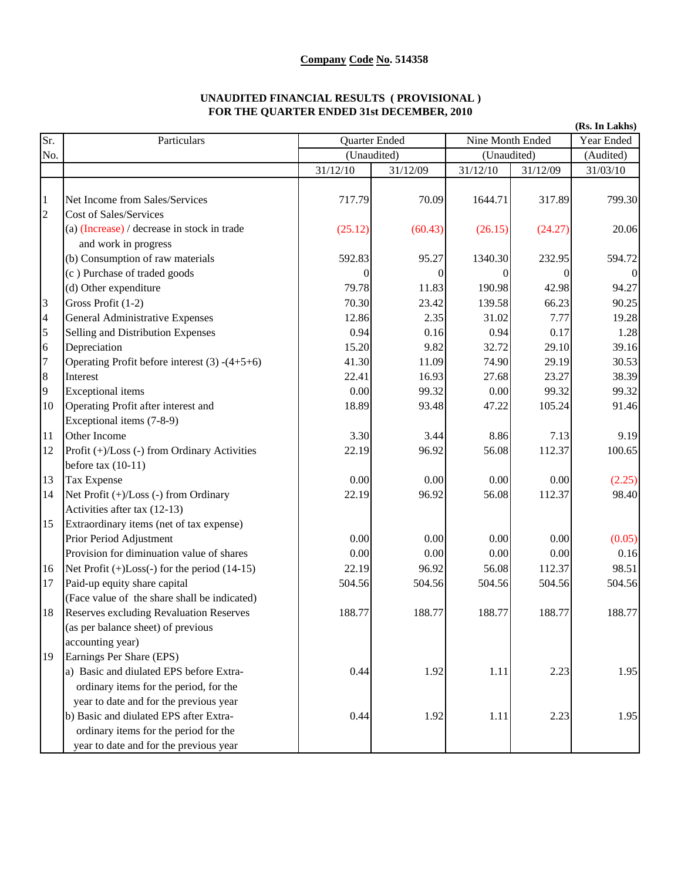## **Company Code No. 514358**

## **UNAUDITED FINANCIAL RESULTS ( PROVISIONAL ) FOR THE QUARTER ENDED 31st DECEMBER, 2010**

|                         |                                                      |          |               |          |                  | (Rs. In Lakhs) |
|-------------------------|------------------------------------------------------|----------|---------------|----------|------------------|----------------|
| Sr.                     | Particulars                                          |          | Quarter Ended |          | Nine Month Ended |                |
| No.                     |                                                      |          | (Unaudited)   |          | (Unaudited)      |                |
|                         |                                                      | 31/12/10 | 31/12/09      | 31/12/10 | 31/12/09         | 31/03/10       |
|                         |                                                      |          |               |          |                  |                |
| $\mathbf{1}$            | Net Income from Sales/Services                       | 717.79   | 70.09         | 1644.71  | 317.89           | 799.30         |
| $\overline{c}$          | Cost of Sales/Services                               |          |               |          |                  |                |
|                         | (a) (Increase) / decrease in stock in trade          | (25.12)  | (60.43)       | (26.15)  | (24.27)          | 20.06          |
|                         | and work in progress                                 |          |               |          |                  |                |
|                         | (b) Consumption of raw materials                     | 592.83   | 95.27         | 1340.30  | 232.95           | 594.72         |
|                         | (c) Purchase of traded goods                         | $\theta$ |               |          |                  |                |
|                         | (d) Other expenditure                                | 79.78    | 11.83         | 190.98   | 42.98            | 94.27          |
| 3                       | Gross Profit (1-2)                                   | 70.30    | 23.42         | 139.58   | 66.23            | 90.25          |
| $\overline{\mathbf{4}}$ | <b>General Administrative Expenses</b>               | 12.86    | 2.35          | 31.02    | 7.77             | 19.28          |
| 5                       | Selling and Distribution Expenses                    | 0.94     | 0.16          | 0.94     | 0.17             | 1.28           |
| 6                       | Depreciation                                         | 15.20    | 9.82          | 32.72    | 29.10            | 39.16          |
| $\overline{7}$          | Operating Profit before interest $(3)$ - $(4+5+6)$   | 41.30    | 11.09         | 74.90    | 29.19            | 30.53          |
| $\bf 8$                 | Interest                                             | 22.41    | 16.93         | 27.68    | 23.27            | 38.39          |
| 9                       | <b>Exceptional</b> items                             | 0.00     | 99.32         | 0.00     | 99.32            | 99.32          |
| 10                      | Operating Profit after interest and                  | 18.89    | 93.48         | 47.22    | 105.24           | 91.46          |
|                         | Exceptional items (7-8-9)                            |          |               |          |                  |                |
| 11                      | Other Income                                         | 3.30     | 3.44          | 8.86     | 7.13             | 9.19           |
| 12                      | Profit (+)/Loss (-) from Ordinary Activities         | 22.19    | 96.92         | 56.08    | 112.37           | 100.65         |
|                         | before tax $(10-11)$                                 |          |               |          |                  |                |
| 13                      | Tax Expense                                          | 0.00     | 0.00          | 0.00     | 0.00             | (2.25)         |
| 14                      | Net Profit (+)/Loss (-) from Ordinary                | 22.19    | 96.92         | 56.08    | 112.37           | 98.40          |
|                         | Activities after tax (12-13)                         |          |               |          |                  |                |
| 15                      | Extraordinary items (net of tax expense)             |          |               |          |                  |                |
|                         | Prior Period Adjustment                              | 0.00     | 0.00          | 0.00     | 0.00             | (0.05)         |
|                         | Provision for diminuation value of shares            | 0.00     | 0.00          | 0.00     | 0.00             | 0.16           |
| 16                      | Net Profit $(+)$ Loss $(-)$ for the period $(14-15)$ | 22.19    | 96.92         | 56.08    | 112.37           | 98.51          |
| 17                      | Paid-up equity share capital                         | 504.56   | 504.56        | 504.56   | 504.56           | 504.56         |
|                         | (Face value of the share shall be indicated)         |          |               |          |                  |                |
| 18                      | <b>Reserves excluding Revaluation Reserves</b>       | 188.77   | 188.77        | 188.77   | 188.77           | 188.77         |
|                         | (as per balance sheet) of previous                   |          |               |          |                  |                |
|                         | accounting year)                                     |          |               |          |                  |                |
| 19                      | Earnings Per Share (EPS)                             |          |               |          |                  |                |
|                         | a) Basic and diulated EPS before Extra-              | 0.44     | 1.92          | 1.11     | 2.23             | 1.95           |
|                         | ordinary items for the period, for the               |          |               |          |                  |                |
|                         | year to date and for the previous year               |          |               |          |                  |                |
|                         | b) Basic and diulated EPS after Extra-               | 0.44     | 1.92          | 1.11     | 2.23             | 1.95           |
|                         | ordinary items for the period for the                |          |               |          |                  |                |
|                         | year to date and for the previous year               |          |               |          |                  |                |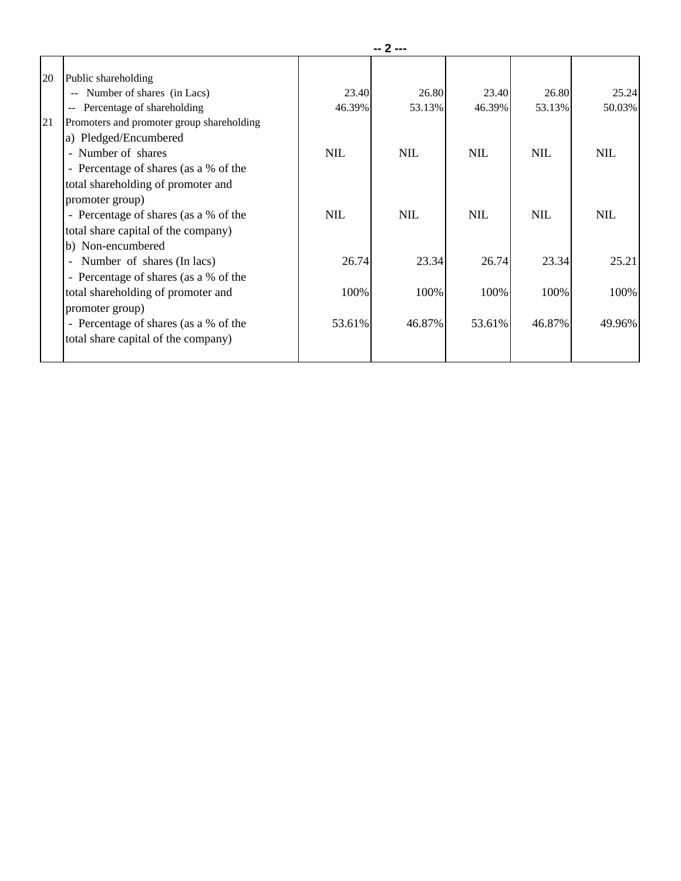|    |                                                        | -- 2 ---   |            |            |            |            |
|----|--------------------------------------------------------|------------|------------|------------|------------|------------|
| 20 | Public shareholding                                    |            |            |            |            |            |
|    | Number of shares (in Lacs)                             | 23.40      | 26.80      | 23.40      | 26.80      | 25.24      |
|    | Percentage of shareholding<br>$\sim$                   | 46.39%     | 53.13%     | 46.39%     | 53.13%     | 50.03%     |
| 21 | Promoters and promoter group shareholding              |            |            |            |            |            |
|    | a) Pledged/Encumbered                                  |            |            |            |            |            |
|    | - Number of shares                                     | <b>NIL</b> | <b>NIL</b> | <b>NIL</b> | <b>NIL</b> | <b>NIL</b> |
|    | - Percentage of shares (as a % of the                  |            |            |            |            |            |
|    | total shareholding of promoter and                     |            |            |            |            |            |
|    | promoter group)                                        |            |            |            |            |            |
|    | - Percentage of shares (as a % of the                  | <b>NIL</b> | <b>NIL</b> | <b>NIL</b> | <b>NIL</b> | <b>NIL</b> |
|    | total share capital of the company)                    |            |            |            |            |            |
|    | b) Non-encumbered                                      |            |            |            |            |            |
|    | Number of shares (In lacs)<br>$\overline{\phantom{a}}$ | 26.74      | 23.34      | 26.74      | 23.34      | 25.21      |
|    | - Percentage of shares (as a % of the                  |            |            |            |            |            |
|    | total shareholding of promoter and                     | 100%       | 100%       | 100%       | 100%       | 100%       |
|    | promoter group)                                        |            |            |            |            |            |
|    | - Percentage of shares (as a % of the                  | 53.61%     | 46.87%     | 53.61%     | 46.87%     | 49.96%     |
|    | total share capital of the company)                    |            |            |            |            |            |
|    |                                                        |            |            |            |            |            |